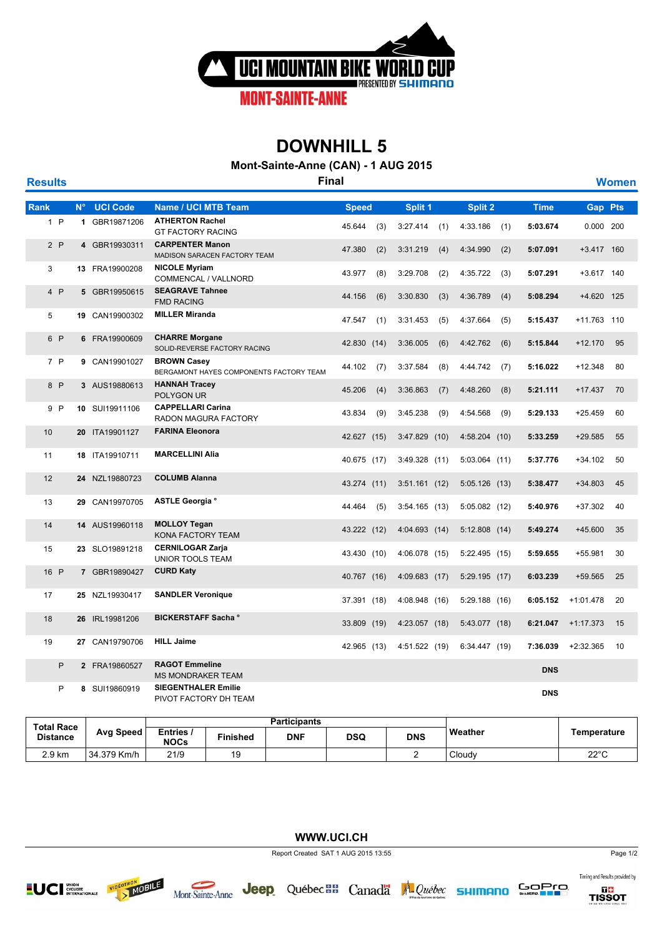

## **DOWNHILL 5**

**Mont-Sainte-Anne (CAN) - 1 AUG 2015**

| <b>Results</b> |   |             |                 | <b>Final</b>                                                  |              |     |                 |     |                 |     |             |                | <b>Women</b> |
|----------------|---|-------------|-----------------|---------------------------------------------------------------|--------------|-----|-----------------|-----|-----------------|-----|-------------|----------------|--------------|
| Rank           |   | $N^{\circ}$ | <b>UCI Code</b> | <b>Name / UCI MTB Team</b>                                    | <b>Speed</b> |     | Split 1         |     | Split 2         |     | <b>Time</b> | <b>Gap Pts</b> |              |
| 1 P            |   |             | 1 GBR19871206   | <b>ATHERTON Rachel</b><br><b>GT FACTORY RACING</b>            | 45.644       | (3) | 3:27.414        | (1) | 4:33.186        | (1) | 5:03.674    | 0.000 200      |              |
| 2P             |   |             | 4 GBR19930311   | <b>CARPENTER Manon</b><br>MADISON SARACEN FACTORY TEAM        | 47.380       | (2) | 3:31.219        | (4) | 4:34.990        | (2) | 5:07.091    | +3.417 160     |              |
| 3              |   |             | 13 FRA19900208  | <b>NICOLE Myriam</b><br>COMMENCAL / VALLNORD                  | 43.977       | (8) | 3:29.708        | (2) | 4:35.722        | (3) | 5:07.291    | +3.617 140     |              |
| 4P             |   |             | 5 GBR19950615   | <b>SEAGRAVE Tahnee</b><br><b>FMD RACING</b>                   | 44.156       | (6) | 3:30.830        | (3) | 4:36.789        | (4) | 5:08.294    | +4.620 125     |              |
| 5              |   |             | 19 CAN19900302  | <b>MILLER Miranda</b>                                         | 47.547       | (1) | 3:31.453        | (5) | 4:37.664        | (5) | 5:15.437    | +11.763 110    |              |
| 6 P            |   |             | 6 FRA19900609   | <b>CHARRE Morgane</b><br>SOLID-REVERSE FACTORY RACING         | 42.830 (14)  |     | 3:36.005        | (6) | 4:42.762        | (6) | 5:15.844    | $+12.170$      | 95           |
| 7P             |   |             | 9 CAN19901027   | <b>BROWN Casey</b><br>BERGAMONT HAYES COMPONENTS FACTORY TEAM | 44.102       | (7) | 3:37.584        | (8) | 4:44.742        | (7) | 5:16.022    | $+12.348$      | 80           |
| 8 P            |   |             | 3 AUS19880613   | <b>HANNAH Tracey</b><br>POLYGON UR                            | 45.206       | (4) | 3:36.863        | (7) | 4:48.260        | (8) | 5:21.111    | $+17.437$      | 70           |
| 9 P            |   |             | 10 SUI19911106  | <b>CAPPELLARI Carina</b><br>RADON MAGURA FACTORY              | 43.834       | (9) | 3:45.238        | (9) | 4:54.568        | (9) | 5:29.133    | $+25.459$      | 60           |
| 10             |   |             | 20 ITA19901127  | <b>FARINA Eleonora</b>                                        | 42.627 (15)  |     | 3:47.829(10)    |     | 4:58.204(10)    |     | 5:33.259    | $+29.585$      | 55           |
| 11             |   |             | 18 ITA19910711  | <b>MARCELLINI Alia</b>                                        | 40.675 (17)  |     | 3:49.328(11)    |     | $5:03.064$ (11) |     | 5:37.776    | $+34.102$      | 50           |
| 12             |   |             | 24 NZL19880723  | <b>COLUMB Alanna</b>                                          | 43.274 (11)  |     | 3:51.161(12)    |     | $5:05.126$ (13) |     | 5:38.477    | $+34.803$      | 45           |
| 13             |   |             | 29 CAN19970705  | ASTLE Georgia °                                               | 44.464       | (5) | $3:54.165$ (13) |     | $5:05.082$ (12) |     | 5:40.976    | $+37.302$      | 40           |
| 14             |   |             | 14 AUS19960118  | <b>MOLLOY Tegan</b><br>KONA FACTORY TEAM                      | 43.222 (12)  |     | 4:04.693 (14)   |     | $5:12.808$ (14) |     | 5:49.274    | $+45.600$      | 35           |
| 15             |   |             | 23 SLO19891218  | <b>CERNILOGAR Zarja</b><br>UNIOR TOOLS TEAM                   | 43.430 (10)  |     | 4:06.078 (15)   |     | 5:22.495(15)    |     | 5:59.655    | $+55.981$      | 30           |
| 16 P           |   |             | 7 GBR19890427   | <b>CURD Katy</b>                                              | 40.767 (16)  |     | 4:09.683 (17)   |     | 5:29.195(17)    |     | 6:03.239    | +59.565        | 25           |
| 17             |   |             | 25 NZL19930417  | <b>SANDLER Veronique</b>                                      | 37.391 (18)  |     | 4:08.948 (16)   |     | $5:29.188$ (16) |     | 6:05.152    | $+1:01.478$    | 20           |
| 18             |   |             | 26 IRL19981206  | <b>BICKERSTAFF Sacha °</b>                                    | 33.809 (19)  |     | 4:23.057 (18)   |     | 5:43.077(18)    |     | 6:21.047    | $+1:17.373$    | 15           |
| 19             |   |             | 27 CAN19790706  | <b>HILL Jaime</b>                                             | 42.965 (13)  |     | 4:51.522 (19)   |     | 6:34.447 (19)   |     | 7:36.039    | $+2:32.365$    | 10           |
|                | P |             | 2 FRA19860527   | <b>RAGOT Emmeline</b><br><b>MS MONDRAKER TEAM</b>             |              |     |                 |     |                 |     | <b>DNS</b>  |                |              |
|                | P |             | 8 SUI19860919   | <b>SIEGENTHALER Emilie</b><br>PIVOT FACTORY DH TEAM           |              |     |                 |     |                 |     | <b>DNS</b>  |                |              |

| <b>Total Race</b> | <b>Avg Speed</b> | <b>Participants</b>     |                 |            |     |            |         |                |  |
|-------------------|------------------|-------------------------|-----------------|------------|-----|------------|---------|----------------|--|
| <b>Distance</b>   |                  | Entries,<br><b>NOCs</b> | <b>Finished</b> | <b>DNF</b> | DSQ | <b>DNS</b> | Weather | Temperature    |  |
| 2.9 km            | 34.379 Km/h      | 21/9                    |                 |            |     |            | Cloudy  | $22^{\circ}$ C |  |

**WWW.UCI.CH**





Timing and Results provided by



Report Created SAT 1 AUG 2015 13:55